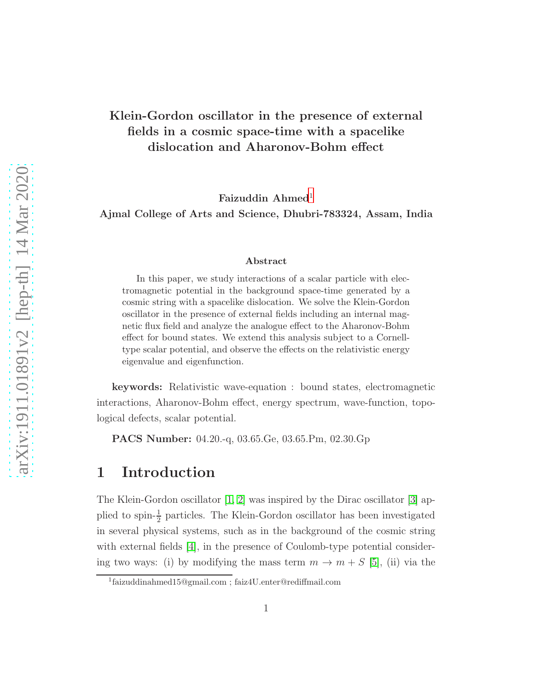### Klein-Gordon oscillator in the presence of external fields in a cosmic space-time with a spacelike dislocation and Aharonov-Bohm effect

Faizuddin Ahmed<sup>[1](#page-0-0)</sup>

Ajmal College of Arts and Science, Dhubri-783324, Assam, India

#### Abstract

In this paper, we study interactions of a scalar particle with electromagnetic potential in the background space-time generated by a cosmic string with a spacelike dislocation. We solve the Klein-Gordon oscillator in the presence of external fields including an internal magnetic flux field and analyze the analogue effect to the Aharonov-Bohm effect for bound states. We extend this analysis subject to a Cornelltype scalar potential, and observe the effects on the relativistic energy eigenvalue and eigenfunction.

keywords: Relativistic wave-equation : bound states, electromagnetic interactions, Aharonov-Bohm effect, energy spectrum, wave-function, topological defects, scalar potential.

PACS Number: 04.20.-q, 03.65.Ge, 03.65.Pm, 02.30.Gp

### 1 Introduction

The Klein-Gordon oscillator  $[1, 2]$  $[1, 2]$  was inspired by the Dirac oscillator  $[3]$  applied to spin- $\frac{1}{2}$  particles. The Klein-Gordon oscillator has been investigated in several physical systems, such as in the background of the cosmic string with external fields [\[4\]](#page-17-3), in the presence of Coulomb-type potential considering two ways: (i) by modifying the mass term  $m \to m + S$  [\[5\]](#page-17-4), (ii) via the

<span id="page-0-0"></span><sup>1</sup> faizuddinahmed15@gmail.com ; faiz4U.enter@rediffmail.com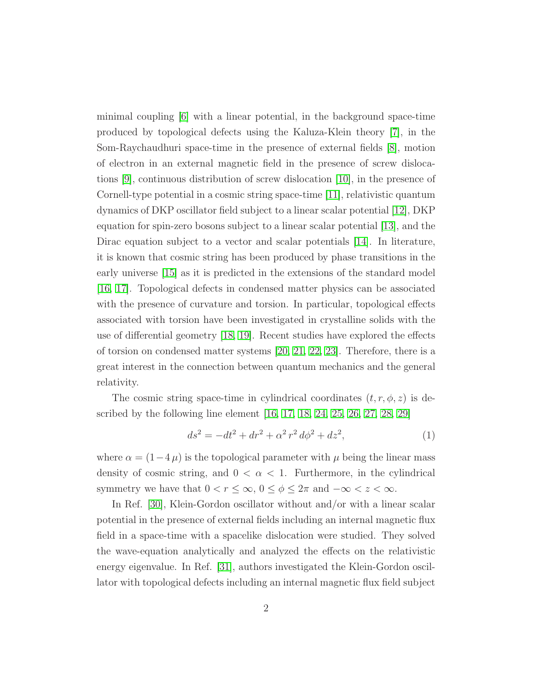minimal coupling [\[6\]](#page-17-5) with a linear potential, in the background space-time produced by topological defects using the Kaluza-Klein theory [\[7\]](#page-17-6), in the Som-Raychaudhuri space-time in the presence of external fields [\[8\]](#page-17-7), motion of electron in an external magnetic field in the presence of screw dislocations [\[9\]](#page-18-0), continuous distribution of screw dislocation [\[10\]](#page-18-1), in the presence of Cornell-type potential in a cosmic string space-time [\[11\]](#page-18-2), relativistic quantum dynamics of DKP oscillator field subject to a linear scalar potential [\[12\]](#page-18-3), DKP equation for spin-zero bosons subject to a linear scalar potential [\[13\]](#page-18-4), and the Dirac equation subject to a vector and scalar potentials [\[14\]](#page-18-5). In literature, it is known that cosmic string has been produced by phase transitions in the early universe [\[15\]](#page-18-6) as it is predicted in the extensions of the standard model [\[16,](#page-18-7) [17\]](#page-18-8). Topological defects in condensed matter physics can be associated with the presence of curvature and torsion. In particular, topological effects associated with torsion have been investigated in crystalline solids with the use of differential geometry [\[18,](#page-18-9) [19\]](#page-18-10). Recent studies have explored the effects of torsion on condensed matter systems [\[20,](#page-18-11) [21,](#page-18-12) [22,](#page-18-13) [23\]](#page-19-0). Therefore, there is a great interest in the connection between quantum mechanics and the general relativity.

The cosmic string space-time in cylindrical coordinates  $(t, r, \phi, z)$  is described by the following line element [\[16,](#page-18-7) [17,](#page-18-8) [18,](#page-18-9) [24,](#page-19-1) [25,](#page-19-2) [26,](#page-19-3) [27,](#page-19-4) [28,](#page-19-5) [29\]](#page-19-6)

$$
ds^{2} = -dt^{2} + dr^{2} + \alpha^{2} r^{2} d\phi^{2} + dz^{2},
$$
\n(1)

where  $\alpha = (1-4\,\mu)$  is the topological parameter with  $\mu$  being the linear mass density of cosmic string, and  $0 < \alpha < 1$ . Furthermore, in the cylindrical symmetry we have that  $0 < r \leq \infty$ ,  $0 \leq \phi \leq 2\pi$  and  $-\infty < z < \infty$ .

In Ref. [\[30\]](#page-19-7), Klein-Gordon oscillator without and/or with a linear scalar potential in the presence of external fields including an internal magnetic flux field in a space-time with a spacelike dislocation were studied. They solved the wave-equation analytically and analyzed the effects on the relativistic energy eigenvalue. In Ref. [\[31\]](#page-19-8), authors investigated the Klein-Gordon oscillator with topological defects including an internal magnetic flux field subject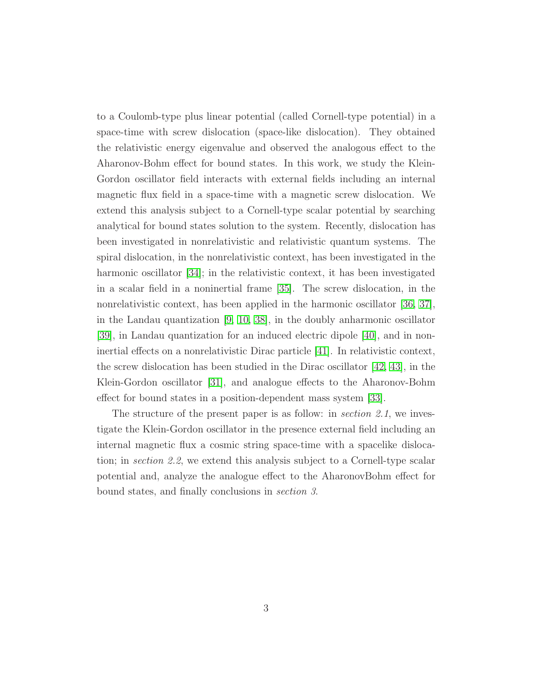to a Coulomb-type plus linear potential (called Cornell-type potential) in a space-time with screw dislocation (space-like dislocation). They obtained the relativistic energy eigenvalue and observed the analogous effect to the Aharonov-Bohm effect for bound states. In this work, we study the Klein-Gordon oscillator field interacts with external fields including an internal magnetic flux field in a space-time with a magnetic screw dislocation. We extend this analysis subject to a Cornell-type scalar potential by searching analytical for bound states solution to the system. Recently, dislocation has been investigated in nonrelativistic and relativistic quantum systems. The spiral dislocation, in the nonrelativistic context, has been investigated in the harmonic oscillator [\[34\]](#page-19-9); in the relativistic context, it has been investigated in a scalar field in a noninertial frame [\[35\]](#page-19-10). The screw dislocation, in the nonrelativistic context, has been applied in the harmonic oscillator [\[36,](#page-19-11) [37\]](#page-19-12), in the Landau quantization [\[9,](#page-18-0) [10,](#page-18-1) [38\]](#page-19-13), in the doubly anharmonic oscillator [\[39\]](#page-19-14), in Landau quantization for an induced electric dipole [\[40\]](#page-20-0), and in noninertial effects on a nonrelativistic Dirac particle [\[41\]](#page-20-1). In relativistic context, the screw dislocation has been studied in the Dirac oscillator [\[42,](#page-20-2) [43\]](#page-20-3), in the Klein-Gordon oscillator [\[31\]](#page-19-8), and analogue effects to the Aharonov-Bohm effect for bound states in a position-dependent mass system [\[33\]](#page-19-15).

The structure of the present paper is as follow: in *section 2.1*, we investigate the Klein-Gordon oscillator in the presence external field including an internal magnetic flux a cosmic string space-time with a spacelike dislocation; in section 2.2, we extend this analysis subject to a Cornell-type scalar potential and, analyze the analogue effect to the AharonovBohm effect for bound states, and finally conclusions in section 3.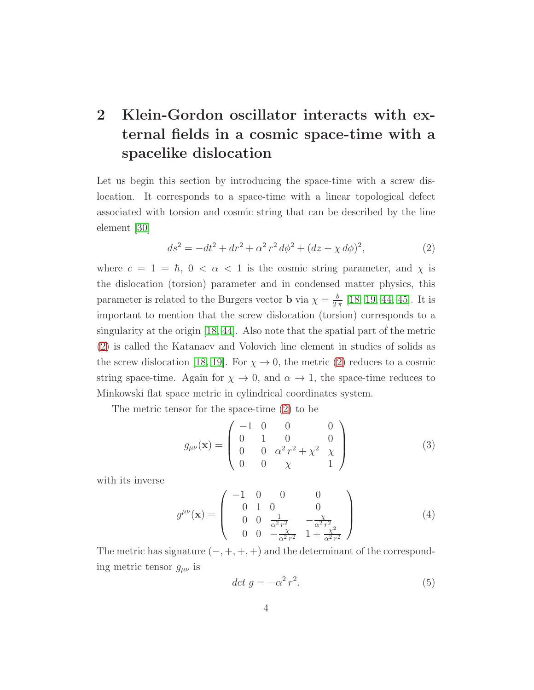# 2 Klein-Gordon oscillator interacts with external fields in a cosmic space-time with a spacelike dislocation

Let us begin this section by introducing the space-time with a screw dislocation. It corresponds to a space-time with a linear topological defect associated with torsion and cosmic string that can be described by the line element [\[30\]](#page-19-7)

<span id="page-3-0"></span>
$$
ds^{2} = -dt^{2} + dr^{2} + \alpha^{2} r^{2} d\phi^{2} + (dz + \chi d\phi)^{2},
$$
\n(2)

where  $c = 1 = \hbar$ ,  $0 < \alpha < 1$  is the cosmic string parameter, and  $\chi$  is the dislocation (torsion) parameter and in condensed matter physics, this parameter is related to the Burgers vector **b** via  $\chi = \frac{b}{2}$  $\frac{b}{2\pi}$  [\[18,](#page-18-9) [19,](#page-18-10) [44,](#page-20-4) [45\]](#page-20-5). It is important to mention that the screw dislocation (torsion) corresponds to a singularity at the origin [\[18,](#page-18-9) [44\]](#page-20-4). Also note that the spatial part of the metric [\(2\)](#page-3-0) is called the Katanaev and Volovich line element in studies of solids as the screw dislocation [\[18,](#page-18-9) [19\]](#page-18-10). For  $\chi \to 0$ , the metric [\(2\)](#page-3-0) reduces to a cosmic string space-time. Again for  $\chi \to 0$ , and  $\alpha \to 1$ , the space-time reduces to Minkowski flat space metric in cylindrical coordinates system.

The metric tensor for the space-time [\(2\)](#page-3-0) to be

$$
g_{\mu\nu}(\mathbf{x}) = \begin{pmatrix} -1 & 0 & 0 & 0 \\ 0 & 1 & 0 & 0 \\ 0 & 0 & \alpha^2 r^2 + \chi^2 & \chi \\ 0 & 0 & \chi & 1 \end{pmatrix}
$$
(3)

with its inverse

$$
g^{\mu\nu}(\mathbf{x}) = \begin{pmatrix} -1 & 0 & 0 & 0 \\ 0 & 1 & 0 & 0 \\ 0 & 0 & \frac{1}{\alpha^2 r^2} & -\frac{\chi}{\alpha^2 r^2} \\ 0 & 0 & -\frac{\chi}{\alpha^2 r^2} & 1 + \frac{\chi^2}{\alpha^2 r^2} \end{pmatrix}
$$
(4)

The metric has signature  $(-, +, +, +)$  and the determinant of the corresponding metric tensor  $g_{\mu\nu}$  is

$$
det\ g = -\alpha^2 r^2. \tag{5}
$$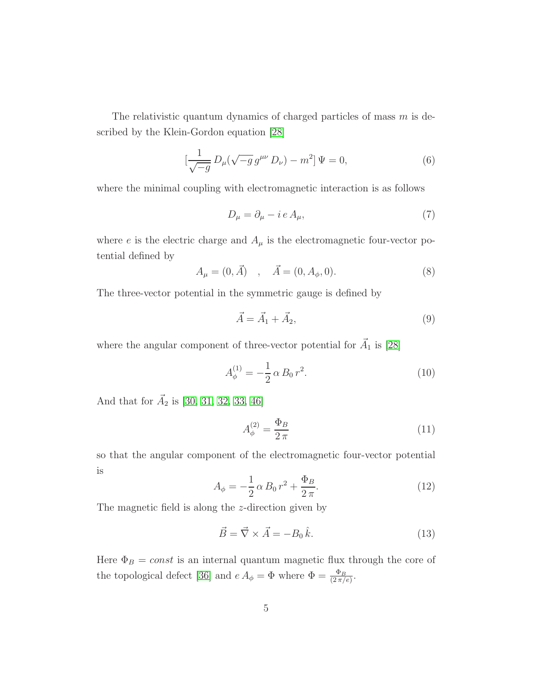The relativistic quantum dynamics of charged particles of mass  $m$  is described by the Klein-Gordon equation [\[28\]](#page-19-5)

$$
\left[\frac{1}{\sqrt{-g}}D_{\mu}(\sqrt{-g}g^{\mu\nu}D_{\nu}) - m^{2}\right]\Psi = 0, \qquad (6)
$$

where the minimal coupling with electromagnetic interaction is as follows

$$
D_{\mu} = \partial_{\mu} - i e A_{\mu}, \tag{7}
$$

where  $e$  is the electric charge and  $A_{\mu}$  is the electromagnetic four-vector potential defined by

$$
A_{\mu} = (0, \vec{A}) \quad , \quad \vec{A} = (0, A_{\phi}, 0). \tag{8}
$$

The three-vector potential in the symmetric gauge is defined by

$$
\vec{A} = \vec{A}_1 + \vec{A}_2,\tag{9}
$$

where the angular component of three-vector potential for  $\vec{A}_1$  is [\[28\]](#page-19-5)

$$
A_{\phi}^{(1)} = -\frac{1}{2} \alpha B_0 r^2.
$$
 (10)

And that for  $\vec{A}_2$  is [\[30,](#page-19-7) [31,](#page-19-8) [32,](#page-19-16) [33,](#page-19-15) [46\]](#page-20-6)

$$
A_{\phi}^{(2)} = \frac{\Phi_B}{2\,\pi} \tag{11}
$$

so that the angular component of the electromagnetic four-vector potential is

<span id="page-4-0"></span>
$$
A_{\phi} = -\frac{1}{2} \alpha B_0 r^2 + \frac{\Phi_B}{2 \pi}.
$$
 (12)

The magnetic field is along the z-direction given by

$$
\vec{B} = \vec{\nabla} \times \vec{A} = -B_0 \hat{k}.
$$
\n(13)

Here  $\Phi_B = const$  is an internal quantum magnetic flux through the core of the topological defect [\[36\]](#page-19-11) and  $e A_{\phi} = \Phi$  where  $\Phi = \frac{\Phi_B}{(2\pi/e)}$ .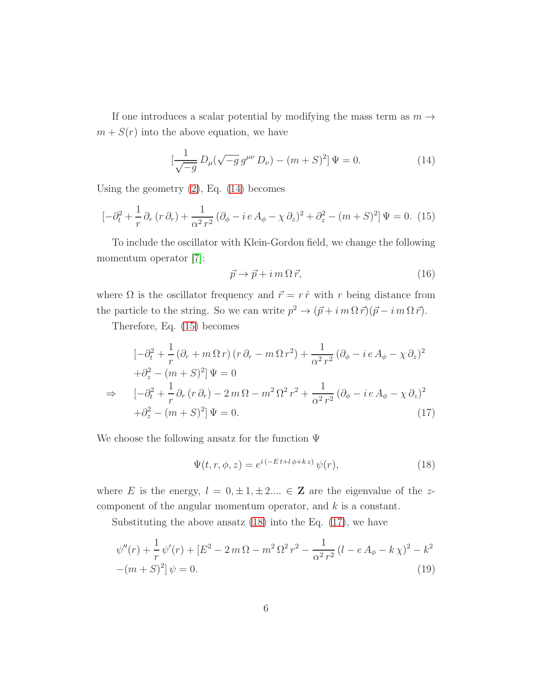If one introduces a scalar potential by modifying the mass term as  $m \rightarrow$  $m + S(r)$  into the above equation, we have

<span id="page-5-0"></span>
$$
\left[\frac{1}{\sqrt{-g}}\,D_{\mu}(\sqrt{-g}\,g^{\mu\nu}\,D_{\nu}) - (m+S)^{2}\right]\Psi = 0.\tag{14}
$$

Using the geometry  $(2)$ , Eq.  $(14)$  becomes

<span id="page-5-1"></span>
$$
\left[ -\partial_t^2 + \frac{1}{r} \partial_r (r \, \partial_r) + \frac{1}{\alpha^2 \, r^2} \left( \partial_\phi - i \, e \, A_\phi - \chi \, \partial_z \right)^2 + \partial_z^2 - (m + S)^2 \right] \Psi = 0. \tag{15}
$$

To include the oscillator with Klein-Gordon field, we change the following momentum operator [\[7\]](#page-17-6):

$$
\vec{p} \to \vec{p} + i \, m \, \Omega \, \vec{r}, \tag{16}
$$

where  $\Omega$  is the oscillator frequency and  $\vec{r} = r \hat{r}$  with r being distance from the particle to the string. So we can write  $p^2 \to (\vec{p} + i m \Omega \vec{r})(\vec{p} - i m \Omega \vec{r}).$ 

Therefore, Eq. [\(15\)](#page-5-1) becomes

<span id="page-5-3"></span>
$$
\left[-\partial_t^2 + \frac{1}{r} \left(\partial_r + m \,\Omega \,r\right) \left(r \,\partial_r - m \,\Omega \,r^2\right) + \frac{1}{\alpha^2 \,r^2} \left(\partial_\phi - i \,e \,A_\phi - \chi \,\partial_z\right)^2\right] + \partial_z^2 - \left(m + S\right)^2 \left[\Psi = 0\right] \Rightarrow \quad \left[-\partial_t^2 + \frac{1}{r} \partial_r \left(r \,\partial_r\right) - 2 \,m \,\Omega - m^2 \,\Omega^2 \,r^2 + \frac{1}{\alpha^2 \,r^2} \left(\partial_\phi - i \,e \,A_\phi - \chi \,\partial_z\right)^2\right] + \partial_z^2 - \left(m + S\right)^2 \left[\Psi = 0.\right] \tag{17}
$$

We choose the following ansatz for the function  $\Psi$ 

<span id="page-5-2"></span>
$$
\Psi(t, r, \phi, z) = e^{i(-Et + l\phi + kz)} \psi(r), \qquad (18)
$$

where E is the energy,  $l = 0, \pm 1, \pm 2, \ldots \in \mathbb{Z}$  are the eigenvalue of the zcomponent of the angular momentum operator, and k is a constant.

Substituting the above ansatz [\(18\)](#page-5-2) into the Eq. [\(17\)](#page-5-3), we have

<span id="page-5-4"></span>
$$
\psi''(r) + \frac{1}{r}\psi'(r) + [E^2 - 2m\Omega - m^2\Omega^2 r^2 - \frac{1}{\alpha^2 r^2}(l - eA_\phi - k\chi)^2 - k^2 - (m + S)^2]\psi = 0.
$$
\n(19)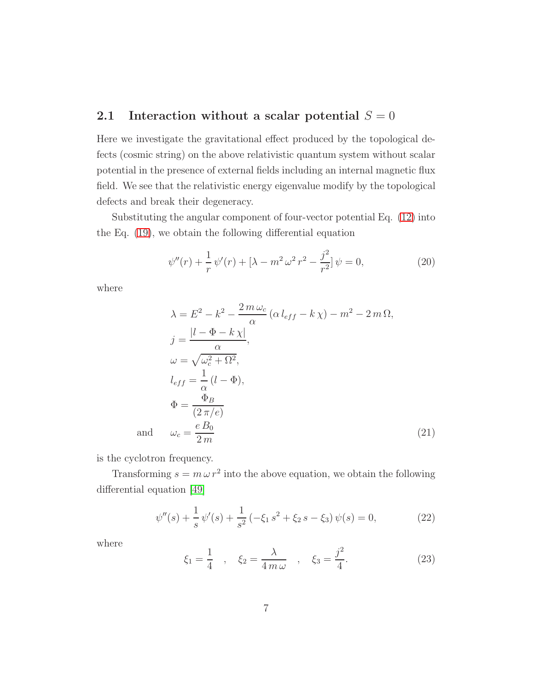## 2.1 Interaction without a scalar potential  $S = 0$

Here we investigate the gravitational effect produced by the topological defects (cosmic string) on the above relativistic quantum system without scalar potential in the presence of external fields including an internal magnetic flux field. We see that the relativistic energy eigenvalue modify by the topological defects and break their degeneracy.

Substituting the angular component of four-vector potential Eq. [\(12\)](#page-4-0) into the Eq. [\(19\)](#page-5-4), we obtain the following differential equation

$$
\psi''(r) + \frac{1}{r}\psi'(r) + [\lambda - m^2\,\omega^2\,r^2 - \frac{j^2}{r^2}]\,\psi = 0,\tag{20}
$$

where

$$
\lambda = E^2 - k^2 - \frac{2m\omega_c}{\alpha} (\alpha l_{eff} - k\chi) - m^2 - 2m\Omega,
$$
  
\n
$$
j = \frac{|l - \Phi - k\chi|}{\alpha},
$$
  
\n
$$
\omega = \sqrt{\omega_c^2 + \Omega^2},
$$
  
\n
$$
l_{eff} = \frac{1}{\alpha} (l - \Phi),
$$
  
\n
$$
\Phi = \frac{\Phi_B}{(2\pi/e)}
$$
  
\n
$$
\omega_c = \frac{eB_0}{2m}
$$
\n(21)

is the cyclotron frequency.

and

Transforming  $s = m \omega r^2$  into the above equation, we obtain the following differential equation [\[49\]](#page-20-7)

$$
\psi''(s) + \frac{1}{s}\psi'(s) + \frac{1}{s^2}(-\xi_1 s^2 + \xi_2 s - \xi_3)\psi(s) = 0,
$$
\n(22)

where

$$
\xi_1 = \frac{1}{4}
$$
,  $\xi_2 = \frac{\lambda}{4 m \omega}$ ,  $\xi_3 = \frac{j^2}{4}$ . (23)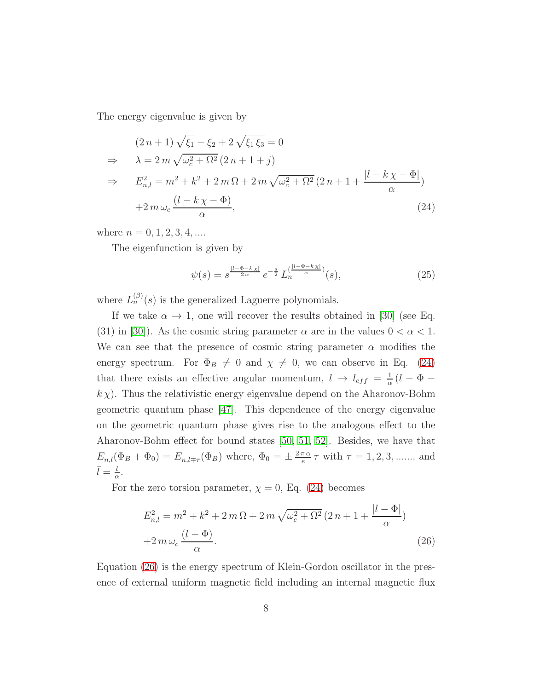The energy eigenvalue is given by

<span id="page-7-0"></span>
$$
(2 n + 1) \sqrt{\xi_1} - \xi_2 + 2 \sqrt{\xi_1} \xi_3 = 0
$$
  
\n
$$
\Rightarrow \lambda = 2 m \sqrt{\omega_c^2 + \Omega^2} (2 n + 1 + j)
$$
  
\n
$$
\Rightarrow E_{n,l}^2 = m^2 + k^2 + 2 m \Omega + 2 m \sqrt{\omega_c^2 + \Omega^2} (2 n + 1 + \frac{|l - k \chi - \Phi|}{\alpha})
$$
  
\n
$$
+ 2 m \omega_c \frac{(l - k \chi - \Phi)}{\alpha},
$$
\n(24)

where  $n = 0, 1, 2, 3, 4, \dots$ 

The eigenfunction is given by

<span id="page-7-2"></span>
$$
\psi(s) = s^{\frac{|l - \Phi - k\chi|}{2\alpha}} e^{-\frac{s}{2}} L_n^{(\frac{|l - \Phi - k\chi|}{\alpha})}(s),\tag{25}
$$

where  $L_n^{(\beta)}(s)$  is the generalized Laguerre polynomials.

If we take  $\alpha \to 1$ , one will recover the results obtained in [\[30\]](#page-19-7) (see Eq. (31) in [\[30\]](#page-19-7)). As the cosmic string parameter  $\alpha$  are in the values  $0 < \alpha < 1$ . We can see that the presence of cosmic string parameter  $\alpha$  modifies the energy spectrum. For  $\Phi_B \neq 0$  and  $\chi \neq 0$ , we can observe in Eq. [\(24\)](#page-7-0) that there exists an effective angular momentum,  $l \rightarrow l_{eff} = \frac{1}{\alpha}$  $\frac{1}{\alpha}$  (l –  $\Phi$  –  $k \chi$ ). Thus the relativistic energy eigenvalue depend on the Aharonov-Bohm geometric quantum phase [\[47\]](#page-20-8). This dependence of the energy eigenvalue on the geometric quantum phase gives rise to the analogous effect to the Aharonov-Bohm effect for bound states [\[50,](#page-20-9) [51,](#page-20-10) [52\]](#page-20-11). Besides, we have that  $E_{n,\bar{l}}(\Phi_B + \Phi_0) = E_{n,\bar{l} \mp \tau}(\Phi_B)$  where,  $\Phi_0 = \pm \frac{2\pi \alpha}{e}$  $\frac{\pi \alpha}{e} \tau$  with  $\tau = 1, 2, 3, \dots$  and  $\bar{l} = \frac{l}{\alpha}$  $\frac{l}{\alpha}$ .

For the zero torsion parameter,  $\chi = 0$ , Eq. [\(24\)](#page-7-0) becomes

<span id="page-7-1"></span>
$$
E_{n,l}^{2} = m^{2} + k^{2} + 2 m \Omega + 2 m \sqrt{\omega_{c}^{2} + \Omega^{2}} (2 n + 1 + \frac{|l - \Phi|}{\alpha})
$$
  
+2 m \omega\_{c} \frac{(l - \Phi)}{\alpha}. (26)

Equation [\(26\)](#page-7-1) is the energy spectrum of Klein-Gordon oscillator in the presence of external uniform magnetic field including an internal magnetic flux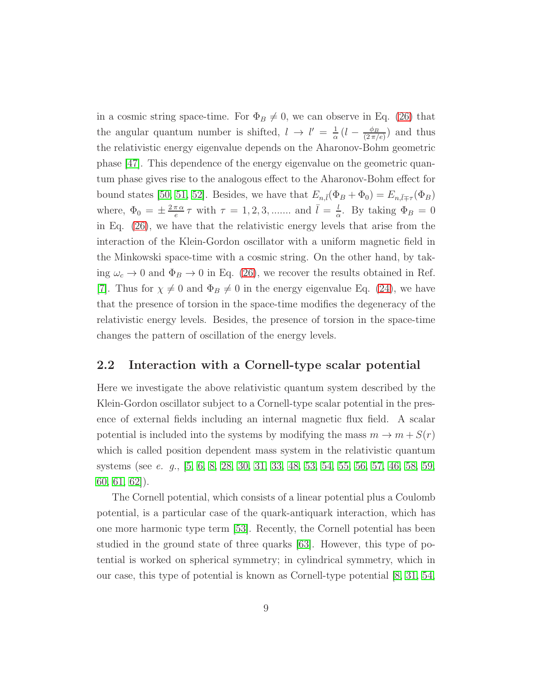in a cosmic string space-time. For  $\Phi_B \neq 0$ , we can observe in Eq. [\(26\)](#page-7-1) that the angular quantum number is shifted,  $l \rightarrow l' = \frac{1}{\alpha}$  $\frac{1}{\alpha}\,(l\,-\,\frac{\phi_B}{(2\,\pi/$  $\frac{\varphi_B}{(2\pi/e)}$  and thus the relativistic energy eigenvalue depends on the Aharonov-Bohm geometric phase [\[47\]](#page-20-8). This dependence of the energy eigenvalue on the geometric quantum phase gives rise to the analogous effect to the Aharonov-Bohm effect for bound states [\[50,](#page-20-9) [51,](#page-20-10) [52\]](#page-20-11). Besides, we have that  $E_{n,\bar{l}}(\Phi_B + \Phi_0) = E_{n,\bar{l}\mp\tau}(\Phi_B)$ where,  $\Phi_0 = \pm \frac{2\pi \alpha}{e}$  $\frac{\pi \alpha}{e} \tau$  with  $\tau = 1, 2, 3, \dots$  and  $\bar{l} = \frac{l}{\alpha}$  $\frac{l}{\alpha}$ . By taking  $\Phi_B = 0$ in Eq. [\(26\)](#page-7-1), we have that the relativistic energy levels that arise from the interaction of the Klein-Gordon oscillator with a uniform magnetic field in the Minkowski space-time with a cosmic string. On the other hand, by taking  $\omega_c \to 0$  and  $\Phi_B \to 0$  in Eq. [\(26\)](#page-7-1), we recover the results obtained in Ref. [\[7\]](#page-17-6). Thus for  $\chi \neq 0$  and  $\Phi_B \neq 0$  in the energy eigenvalue Eq. [\(24\)](#page-7-0), we have that the presence of torsion in the space-time modifies the degeneracy of the relativistic energy levels. Besides, the presence of torsion in the space-time changes the pattern of oscillation of the energy levels.

#### 2.2 Interaction with a Cornell-type scalar potential

Here we investigate the above relativistic quantum system described by the Klein-Gordon oscillator subject to a Cornell-type scalar potential in the presence of external fields including an internal magnetic flux field. A scalar potential is included into the systems by modifying the mass  $m \to m + S(r)$ which is called position dependent mass system in the relativistic quantum systems (see e. g., [\[5,](#page-17-4) [6,](#page-17-5) [8,](#page-17-7) [28,](#page-19-5) [30,](#page-19-7) [31,](#page-19-8) [33,](#page-19-15) [48,](#page-20-12) [53,](#page-20-13) [54,](#page-20-14) [55,](#page-20-15) [56,](#page-21-0) [57,](#page-21-1) [46,](#page-20-6) [58,](#page-21-2) [59,](#page-21-3) [60,](#page-21-4) [61,](#page-21-5) [62\]](#page-21-6)).

The Cornell potential, which consists of a linear potential plus a Coulomb potential, is a particular case of the quark-antiquark interaction, which has one more harmonic type term [\[53\]](#page-20-13). Recently, the Cornell potential has been studied in the ground state of three quarks [\[63\]](#page-21-7). However, this type of potential is worked on spherical symmetry; in cylindrical symmetry, which in our case, this type of potential is known as Cornell-type potential [\[8,](#page-17-7) [31,](#page-19-8) [54,](#page-20-14)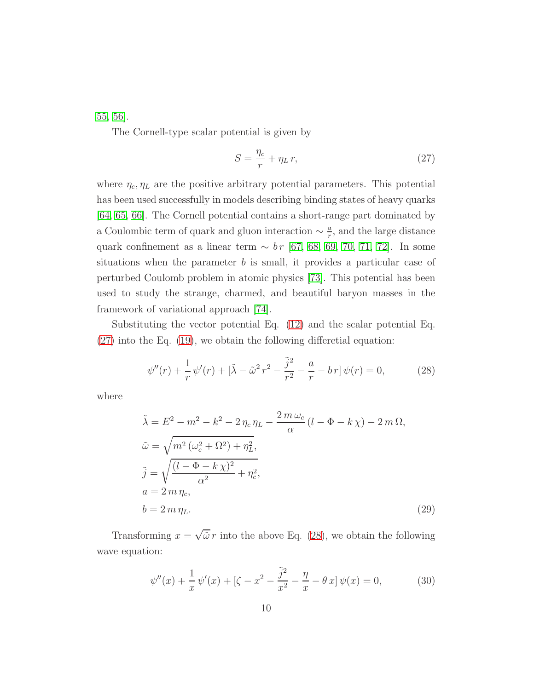[55,](#page-20-15) [56\]](#page-21-0).

The Cornell-type scalar potential is given by

<span id="page-9-0"></span>
$$
S = \frac{\eta_c}{r} + \eta_L r,\tag{27}
$$

where  $\eta_c, \eta_L$  are the positive arbitrary potential parameters. This potential has been used successfully in models describing binding states of heavy quarks [\[64,](#page-21-8) [65,](#page-21-9) [66\]](#page-21-10). The Cornell potential contains a short-range part dominated by a Coulombic term of quark and gluon interaction  $\sim \frac{a}{r}$  $\frac{a}{r}$ , and the large distance quark confinement as a linear term  $\sim b r$  [\[67,](#page-21-11) [68,](#page-21-12) [69,](#page-21-13) [70,](#page-21-14) [71,](#page-21-15) [72\]](#page-21-16). In some situations when the parameter  $b$  is small, it provides a particular case of perturbed Coulomb problem in atomic physics [\[73\]](#page-22-0). This potential has been used to study the strange, charmed, and beautiful baryon masses in the framework of variational approach [\[74\]](#page-22-1).

Substituting the vector potential Eq. [\(12\)](#page-4-0) and the scalar potential Eq. [\(27\)](#page-9-0) into the Eq. [\(19\)](#page-5-4), we obtain the following differetial equation:

<span id="page-9-1"></span>
$$
\psi''(r) + \frac{1}{r}\psi'(r) + \left[\tilde{\lambda} - \tilde{\omega}^2 r^2 - \frac{\tilde{j}^2}{r^2} - \frac{a}{r} - br\right]\psi(r) = 0,
$$
 (28)

where

<span id="page-9-3"></span>
$$
\tilde{\lambda} = E^2 - m^2 - k^2 - 2 \eta_c \eta_L - \frac{2 m \omega_c}{\alpha} (l - \Phi - k \chi) - 2 m \Omega,
$$
  
\n
$$
\tilde{\omega} = \sqrt{m^2 (\omega_c^2 + \Omega^2) + \eta_L^2},
$$
  
\n
$$
\tilde{j} = \sqrt{\frac{(l - \Phi - k \chi)^2}{\alpha^2} + \eta_c^2},
$$
  
\n
$$
a = 2 m \eta_c,
$$
  
\n
$$
b = 2 m \eta_L.
$$
\n(29)

Transforming  $x = \sqrt{\tilde{\omega}} r$  into the above Eq. [\(28\)](#page-9-1), we obtain the following wave equation:

<span id="page-9-2"></span>
$$
\psi''(x) + \frac{1}{x}\psi'(x) + \left[\zeta - x^2 - \frac{\tilde{j}^2}{x^2} - \frac{\eta}{x} - \theta x\right]\psi(x) = 0,\tag{30}
$$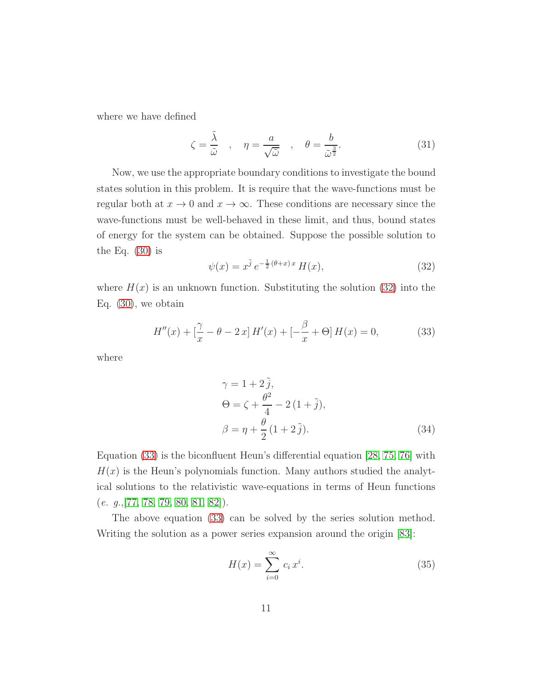where we have defined

$$
\zeta = \frac{\tilde{\lambda}}{\tilde{\omega}}, \quad \eta = \frac{a}{\sqrt{\tilde{\omega}}}, \quad \theta = \frac{b}{\tilde{\omega}^{\frac{3}{2}}}.
$$
 (31)

Now, we use the appropriate boundary conditions to investigate the bound states solution in this problem. It is require that the wave-functions must be regular both at  $x \to 0$  and  $x \to \infty$ . These conditions are necessary since the wave-functions must be well-behaved in these limit, and thus, bound states of energy for the system can be obtained. Suppose the possible solution to the Eq.  $(30)$  is

<span id="page-10-0"></span>
$$
\psi(x) = x^{\tilde{j}} e^{-\frac{1}{2}(\theta + x)x} H(x),
$$
\n(32)

where  $H(x)$  is an unknown function. Substituting the solution [\(32\)](#page-10-0) into the Eq. [\(30\)](#page-9-2), we obtain

<span id="page-10-1"></span>
$$
H''(x) + \left[\frac{\gamma}{x} - \theta - 2x\right]H'(x) + \left[-\frac{\beta}{x} + \Theta\right]H(x) = 0,\tag{33}
$$

where

$$
\gamma = 1 + 2 \tilde{j},
$$
  
\n
$$
\Theta = \zeta + \frac{\theta^2}{4} - 2(1 + \tilde{j}),
$$
  
\n
$$
\beta = \eta + \frac{\theta}{2}(1 + 2\tilde{j}).
$$
\n(34)

Equation [\(33\)](#page-10-1) is the biconfluent Heun's differential equation [\[28,](#page-19-5) [75,](#page-22-2) [76\]](#page-22-3) with  $H(x)$  is the Heun's polynomials function. Many authors studied the analytical solutions to the relativistic wave-equations in terms of Heun functions  $(e. g., [77, 78, 79, 80, 81, 82]).$  $(e. g., [77, 78, 79, 80, 81, 82]).$  $(e. g., [77, 78, 79, 80, 81, 82]).$  $(e. g., [77, 78, 79, 80, 81, 82]).$  $(e. g., [77, 78, 79, 80, 81, 82]).$  $(e. g., [77, 78, 79, 80, 81, 82]).$  $(e. g., [77, 78, 79, 80, 81, 82]).$  $(e. g., [77, 78, 79, 80, 81, 82]).$ 

The above equation [\(33\)](#page-10-1) can be solved by the series solution method. Writing the solution as a power series expansion around the origin [\[83\]](#page-22-10):

<span id="page-10-2"></span>
$$
H(x) = \sum_{i=0}^{\infty} c_i x^i.
$$
 (35)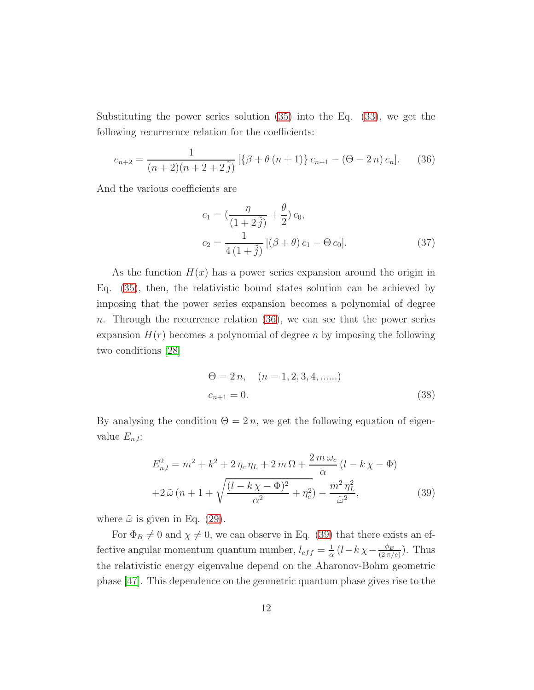Substituting the power series solution [\(35\)](#page-10-2) into the Eq. [\(33\)](#page-10-1), we get the following recurrernce relation for the coefficients:

<span id="page-11-0"></span>
$$
c_{n+2} = \frac{1}{(n+2)(n+2+2\tilde{j})} \left[ \{ \beta + \theta (n+1) \} c_{n+1} - (\Theta - 2n) c_n \right]. \tag{36}
$$

And the various coefficients are

<span id="page-11-2"></span>
$$
c_1 = \left(\frac{\eta}{(1+2\tilde{j})} + \frac{\theta}{2}\right)c_0,
$$
  
\n
$$
c_2 = \frac{1}{4(1+\tilde{j})}\left[ (\beta + \theta) c_1 - \Theta c_0 \right].
$$
\n(37)

As the function  $H(x)$  has a power series expansion around the origin in Eq. [\(35\)](#page-10-2), then, the relativistic bound states solution can be achieved by imposing that the power series expansion becomes a polynomial of degree n. Through the recurrence relation  $(36)$ , we can see that the power series expansion  $H(r)$  becomes a polynomial of degree n by imposing the following two conditions [\[28\]](#page-19-5)

$$
\Theta = 2 n, \quad (n = 1, 2, 3, 4, \dots)
$$
  

$$
c_{n+1} = 0.
$$
 (38)

By analysing the condition  $\Theta = 2n$ , we get the following equation of eigenvalue  $E_{n,l}$ :

<span id="page-11-1"></span>
$$
E_{n,l}^2 = m^2 + k^2 + 2\eta_c \eta_L + 2m\Omega + \frac{2m\omega_c}{\alpha} (l - k\chi - \Phi)
$$
  
+2\tilde{\omega} (n+1+\sqrt{\frac{(l-k\chi-\Phi)^2}{\alpha^2} + \eta\_c^2}) - \frac{m^2\eta\_L^2}{\tilde{\omega}^2}, \tag{39}

where  $\tilde{\omega}$  is given in Eq. [\(29\)](#page-9-3).

For  $\Phi_B \neq 0$  and  $\chi \neq 0$ , we can observe in Eq. [\(39\)](#page-11-1) that there exists an effective angular momentum quantum number,  $l_{eff} = \frac{1}{\alpha}$  $\frac{1}{\alpha}$   $(l-k\,\chi-\frac{\phi_B}{(2\,\pi/2)}$  $\frac{\phi_B}{(2\pi/e)}$ ). Thus the relativistic energy eigenvalue depend on the Aharonov-Bohm geometric phase [\[47\]](#page-20-8). This dependence on the geometric quantum phase gives rise to the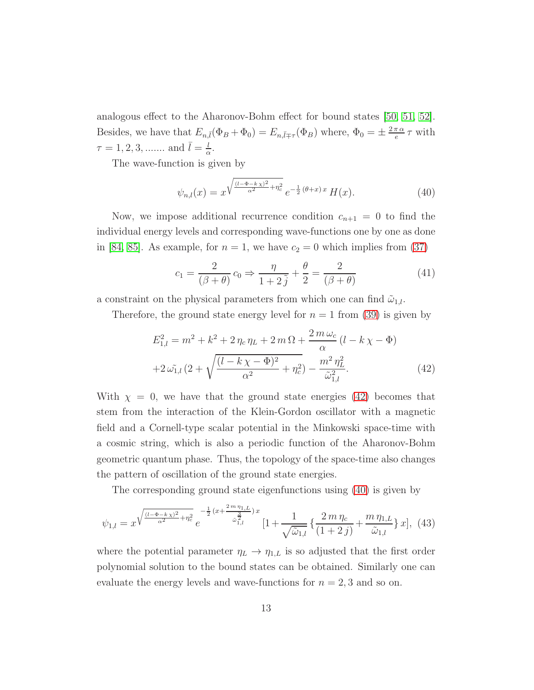analogous effect to the Aharonov-Bohm effect for bound states [\[50,](#page-20-9) [51,](#page-20-10) [52\]](#page-20-11). Besides, we have that  $E_{n,\bar{l}}(\Phi_B + \Phi_0) = E_{n,\bar{l}\mp\tau}(\Phi_B)$  where,  $\Phi_0 = \pm \frac{2\pi \alpha}{e}$  $\frac{\pi\alpha}{e}\tau$  with  $\tau = 1, 2, 3, \dots$  and  $\bar{l} = \frac{l}{a}$  $\frac{l}{\alpha}$ .

The wave-function is given by

<span id="page-12-1"></span>
$$
\psi_{n,l}(x) = x^{\sqrt{\frac{(l-\Phi-kx)^2}{\alpha^2} + \eta_c^2}} e^{-\frac{1}{2}(\theta+x)x} H(x).
$$
 (40)

Now, we impose additional recurrence condition  $c_{n+1} = 0$  to find the individual energy levels and corresponding wave-functions one by one as done in [\[84,](#page-22-11) [85\]](#page-22-12). As example, for  $n = 1$ , we have  $c_2 = 0$  which implies from [\(37\)](#page-11-2)

$$
c_1 = \frac{2}{(\beta + \theta)} c_0 \Rightarrow \frac{\eta}{1 + 2\tilde{j}} + \frac{\theta}{2} = \frac{2}{(\beta + \theta)}
$$
(41)

a constraint on the physical parameters from which one can find  $\tilde{\omega}_{1,l}$ .

Therefore, the ground state energy level for  $n = 1$  from [\(39\)](#page-11-1) is given by

<span id="page-12-0"></span>
$$
E_{1,l}^{2} = m^{2} + k^{2} + 2 \eta_{c} \eta_{L} + 2 m \Omega + \frac{2 m \omega_{c}}{\alpha} (l - k \chi - \Phi)
$$
  
+2 \omega\_{1,l}^{2} (2 + \sqrt{\frac{(l - k \chi - \Phi)^{2}}{\alpha^{2}} + \eta\_{c}^{2}}) - \frac{m^{2} \eta\_{L}^{2}}{\tilde{\omega}\_{1,l}^{2}}. (42)

With  $\chi = 0$ , we have that the ground state energies [\(42\)](#page-12-0) becomes that stem from the interaction of the Klein-Gordon oscillator with a magnetic field and a Cornell-type scalar potential in the Minkowski space-time with a cosmic string, which is also a periodic function of the Aharonov-Bohm geometric quantum phase. Thus, the topology of the space-time also changes the pattern of oscillation of the ground state energies.

The corresponding ground state eigenfunctions using [\(40\)](#page-12-1) is given by

$$
\psi_{1,l} = x^{\sqrt{\frac{(l-\Phi-k\chi)^2}{\alpha^2} + \eta_c^2}} e^{-\frac{1}{2}(x + \frac{2m\eta_{1,L}}{\tilde{\omega}_{1,l}^2})x} [1 + \frac{1}{\sqrt{\tilde{\omega}_{1,l}}} \left\{ \frac{2m\eta_c}{(1+2j)} + \frac{m\eta_{1,L}}{\tilde{\omega}_{1,l}} \right\} x], \tag{43}
$$

where the potential parameter  $\eta_L \to \eta_{1,L}$  is so adjusted that the first order polynomial solution to the bound states can be obtained. Similarly one can evaluate the energy levels and wave-functions for  $n = 2, 3$  and so on.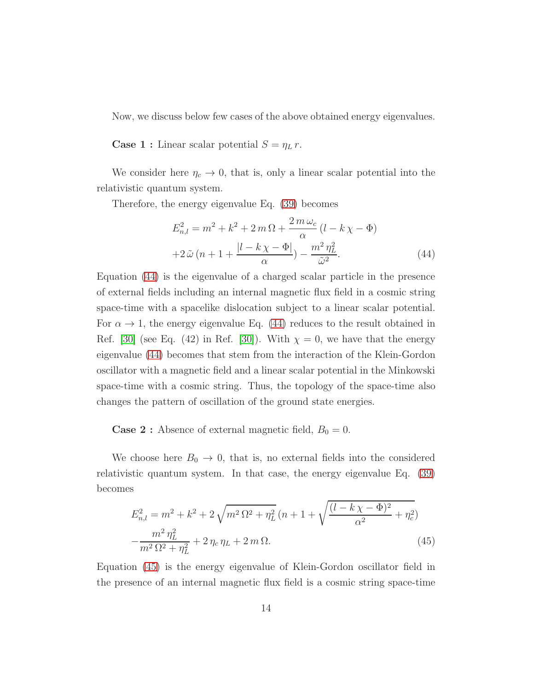Now, we discuss below few cases of the above obtained energy eigenvalues.

**Case 1 :** Linear scalar potential  $S = \eta_L r$ .

We consider here  $\eta_c \to 0$ , that is, only a linear scalar potential into the relativistic quantum system.

Therefore, the energy eigenvalue Eq. [\(39\)](#page-11-1) becomes

<span id="page-13-0"></span>
$$
E_{n,l}^{2} = m^{2} + k^{2} + 2 m \Omega + \frac{2 m \omega_{c}}{\alpha} (l - k \chi - \Phi)
$$
  
+2\tilde{\omega} (n + 1 + \frac{|l - k \chi - \Phi|}{\alpha}) - \frac{m^{2} \eta\_{L}^{2}}{\tilde{\omega}^{2}}. (44)

Equation [\(44\)](#page-13-0) is the eigenvalue of a charged scalar particle in the presence of external fields including an internal magnetic flux field in a cosmic string space-time with a spacelike dislocation subject to a linear scalar potential. For  $\alpha \to 1$ , the energy eigenvalue Eq. [\(44\)](#page-13-0) reduces to the result obtained in Ref. [\[30\]](#page-19-7) (see Eq. (42) in Ref. [30]). With  $\chi = 0$ , we have that the energy eigenvalue [\(44\)](#page-13-0) becomes that stem from the interaction of the Klein-Gordon oscillator with a magnetic field and a linear scalar potential in the Minkowski space-time with a cosmic string. Thus, the topology of the space-time also changes the pattern of oscillation of the ground state energies.

**Case 2**: Absence of external magnetic field,  $B_0 = 0$ .

We choose here  $B_0 \to 0$ , that is, no external fields into the considered relativistic quantum system. In that case, the energy eigenvalue Eq. [\(39\)](#page-11-1) becomes

<span id="page-13-1"></span>
$$
E_{n,l}^{2} = m^{2} + k^{2} + 2\sqrt{m^{2} \Omega^{2} + \eta_{L}^{2}} (n + 1 + \sqrt{\frac{(l - k\chi - \Phi)^{2}}{\alpha^{2}} + \eta_{c}^{2}}) - \frac{m^{2} \eta_{L}^{2}}{m^{2} \Omega^{2} + \eta_{L}^{2}} + 2\eta_{c} \eta_{L} + 2m \Omega.
$$
\n(45)

Equation [\(45\)](#page-13-1) is the energy eigenvalue of Klein-Gordon oscillator field in the presence of an internal magnetic flux field is a cosmic string space-time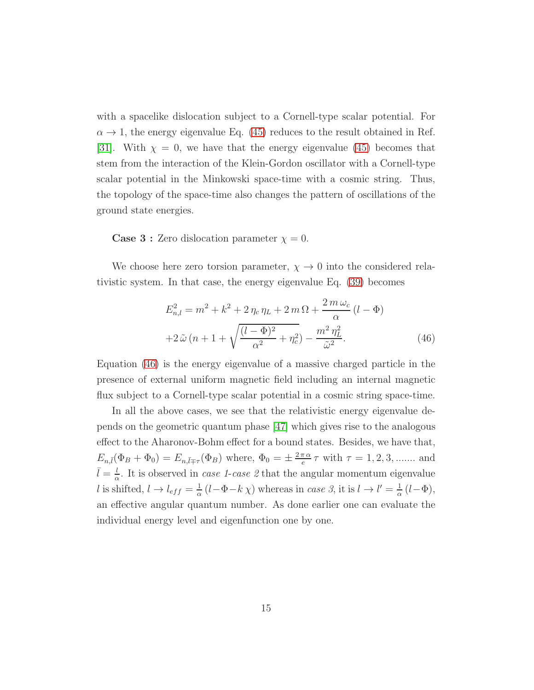with a spacelike dislocation subject to a Cornell-type scalar potential. For  $\alpha \rightarrow 1$ , the energy eigenvalue Eq. [\(45\)](#page-13-1) reduces to the result obtained in Ref. [\[31\]](#page-19-8). With  $\chi = 0$ , we have that the energy eigenvalue [\(45\)](#page-13-1) becomes that stem from the interaction of the Klein-Gordon oscillator with a Cornell-type scalar potential in the Minkowski space-time with a cosmic string. Thus, the topology of the space-time also changes the pattern of oscillations of the ground state energies.

**Case 3 :** Zero dislocation parameter  $\chi = 0$ .

We choose here zero torsion parameter,  $\chi \rightarrow 0$  into the considered relativistic system. In that case, the energy eigenvalue Eq. [\(39\)](#page-11-1) becomes

<span id="page-14-0"></span>
$$
E_{n,l}^{2} = m^{2} + k^{2} + 2 \eta_{c} \eta_{L} + 2 m \Omega + \frac{2 m \omega_{c}}{\alpha} (l - \Phi)
$$
  
+2\tilde{\omega} (n + 1 + \sqrt{\frac{(l - \Phi)^{2}}{\alpha^{2}} + \eta\_{c}^{2}}) - \frac{m^{2} \eta\_{L}^{2}}{\tilde{\omega}^{2}}. (46)

Equation [\(46\)](#page-14-0) is the energy eigenvalue of a massive charged particle in the presence of external uniform magnetic field including an internal magnetic flux subject to a Cornell-type scalar potential in a cosmic string space-time.

In all the above cases, we see that the relativistic energy eigenvalue depends on the geometric quantum phase [\[47\]](#page-20-8) which gives rise to the analogous effect to the Aharonov-Bohm effect for a bound states. Besides, we have that,  $E_{n,\bar{l}}(\Phi_B + \Phi_0) = E_{n,\bar{l} \mp \tau}(\Phi_B)$  where,  $\Phi_0 = \pm \frac{2\pi \alpha}{e}$  $\frac{\pi \alpha}{e} \tau$  with  $\tau = 1, 2, 3, \dots$  and  $\bar{l} = \frac{l}{\alpha}$  $\frac{l}{\alpha}$ . It is observed in *case 1-case 2* that the angular momentum eigenvalue l is shifted,  $l \rightarrow l_{eff} = \frac{1}{\alpha}$  $\frac{1}{\alpha} (l - \Phi - k \chi)$  whereas in case 3, it is  $l \to l' = \frac{1}{\alpha}$  $\frac{1}{\alpha} (l - \Phi),$ an effective angular quantum number. As done earlier one can evaluate the individual energy level and eigenfunction one by one.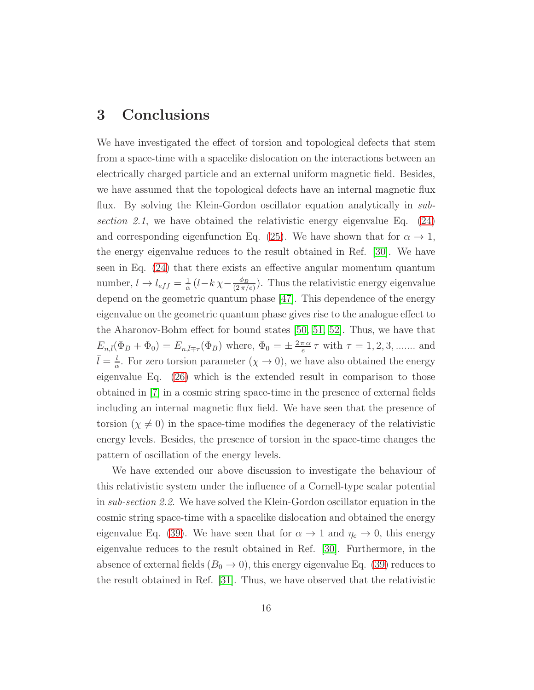#### 3 Conclusions

We have investigated the effect of torsion and topological defects that stem from a space-time with a spacelike dislocation on the interactions between an electrically charged particle and an external uniform magnetic field. Besides, we have assumed that the topological defects have an internal magnetic flux flux. By solving the Klein-Gordon oscillator equation analytically in subsection 2.1, we have obtained the relativistic energy eigenvalue Eq.  $(24)$ and corresponding eigenfunction Eq. [\(25\)](#page-7-2). We have shown that for  $\alpha \to 1$ , the energy eigenvalue reduces to the result obtained in Ref. [\[30\]](#page-19-7). We have seen in Eq. [\(24\)](#page-7-0) that there exists an effective angular momentum quantum number,  $l \rightarrow l_{eff} = \frac{1}{\alpha}$  $\frac{1}{\alpha}$  (l – k  $\chi$  –  $\frac{\phi_B}{(2\pi)}$  $\frac{\varphi_B}{(2\pi/e)}$ ). Thus the relativistic energy eigenvalue depend on the geometric quantum phase [\[47\]](#page-20-8). This dependence of the energy eigenvalue on the geometric quantum phase gives rise to the analogue effect to the Aharonov-Bohm effect for bound states [\[50,](#page-20-9) [51,](#page-20-10) [52\]](#page-20-11). Thus, we have that  $E_{n,\bar{l}}(\Phi_B + \Phi_0) = E_{n,\bar{l}\mp\tau}(\Phi_B)$  where,  $\Phi_0 = \pm \frac{2\pi\alpha}{e}$  $\frac{\pi \alpha}{e} \tau$  with  $\tau = 1, 2, 3, \dots$  and  $\bar{l} = \frac{l}{\alpha}$  $\frac{l}{\alpha}$ . For zero torsion parameter  $(\chi \to 0)$ , we have also obtained the energy eigenvalue Eq. [\(26\)](#page-7-1) which is the extended result in comparison to those obtained in [\[7\]](#page-17-6) in a cosmic string space-time in the presence of external fields including an internal magnetic flux field. We have seen that the presence of torsion ( $\chi \neq 0$ ) in the space-time modifies the degeneracy of the relativistic energy levels. Besides, the presence of torsion in the space-time changes the pattern of oscillation of the energy levels.

We have extended our above discussion to investigate the behaviour of this relativistic system under the influence of a Cornell-type scalar potential in sub-section 2.2. We have solved the Klein-Gordon oscillator equation in the cosmic string space-time with a spacelike dislocation and obtained the energy eigenvalue Eq. [\(39\)](#page-11-1). We have seen that for  $\alpha \to 1$  and  $\eta_c \to 0$ , this energy eigenvalue reduces to the result obtained in Ref. [\[30\]](#page-19-7). Furthermore, in the absence of external fields  $(B_0 \to 0)$ , this energy eigenvalue Eq. [\(39\)](#page-11-1) reduces to the result obtained in Ref. [\[31\]](#page-19-8). Thus, we have observed that the relativistic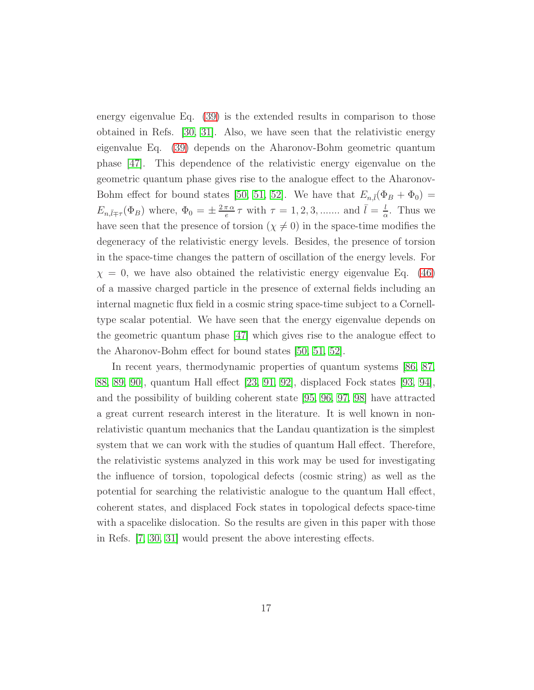energy eigenvalue Eq. [\(39\)](#page-11-1) is the extended results in comparison to those obtained in Refs. [\[30,](#page-19-7) [31\]](#page-19-8). Also, we have seen that the relativistic energy eigenvalue Eq. [\(39\)](#page-11-1) depends on the Aharonov-Bohm geometric quantum phase [\[47\]](#page-20-8). This dependence of the relativistic energy eigenvalue on the geometric quantum phase gives rise to the analogue effect to the Aharonov-Bohm effect for bound states [\[50,](#page-20-9) [51,](#page-20-10) [52\]](#page-20-11). We have that  $E_{n,\bar{l}}(\Phi_B + \Phi_0) =$  $E_{n,\bar{l}\mp\tau}(\Phi_B)$  where,  $\Phi_0 = \pm \frac{2\pi\alpha}{e}$  $\frac{\pi \alpha}{e} \tau$  with  $\tau = 1, 2, 3, \dots$  and  $\bar{l} = \frac{l}{\alpha}$  $\frac{l}{\alpha}$ . Thus we have seen that the presence of torsion ( $\chi \neq 0$ ) in the space-time modifies the degeneracy of the relativistic energy levels. Besides, the presence of torsion in the space-time changes the pattern of oscillation of the energy levels. For  $\chi = 0$ , we have also obtained the relativistic energy eigenvalue Eq. [\(46\)](#page-14-0) of a massive charged particle in the presence of external fields including an internal magnetic flux field in a cosmic string space-time subject to a Cornelltype scalar potential. We have seen that the energy eigenvalue depends on the geometric quantum phase [\[47\]](#page-20-8) which gives rise to the analogue effect to the Aharonov-Bohm effect for bound states [\[50,](#page-20-9) [51,](#page-20-10) [52\]](#page-20-11).

In recent years, thermodynamic properties of quantum systems  $[86, 87,$  $[86, 87,$ [88,](#page-23-0) [89,](#page-23-1) [90\]](#page-23-2), quantum Hall effect [\[23,](#page-19-0) [91,](#page-23-3) [92\]](#page-23-4), displaced Fock states [\[93,](#page-23-5) [94\]](#page-23-6), and the possibility of building coherent state [\[95,](#page-23-7) [96,](#page-23-8) [97,](#page-23-9) [98\]](#page-23-10) have attracted a great current research interest in the literature. It is well known in nonrelativistic quantum mechanics that the Landau quantization is the simplest system that we can work with the studies of quantum Hall effect. Therefore, the relativistic systems analyzed in this work may be used for investigating the influence of torsion, topological defects (cosmic string) as well as the potential for searching the relativistic analogue to the quantum Hall effect, coherent states, and displaced Fock states in topological defects space-time with a spacelike dislocation. So the results are given in this paper with those in Refs. [\[7,](#page-17-6) [30,](#page-19-7) [31\]](#page-19-8) would present the above interesting effects.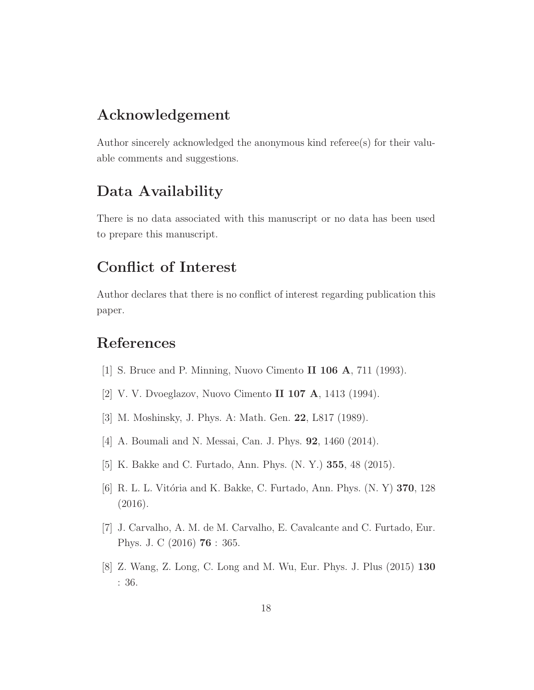### Acknowledgement

Author sincerely acknowledged the anonymous kind referee(s) for their valuable comments and suggestions.

## Data Availability

There is no data associated with this manuscript or no data has been used to prepare this manuscript.

## Conflict of Interest

Author declares that there is no conflict of interest regarding publication this paper.

## <span id="page-17-0"></span>References

- <span id="page-17-1"></span>[1] S. Bruce and P. Minning, Nuovo Cimento II 106 A, 711 (1993).
- <span id="page-17-2"></span>[2] V. V. Dvoeglazov, Nuovo Cimento II 107 A, 1413 (1994).
- <span id="page-17-3"></span>[3] M. Moshinsky, J. Phys. A: Math. Gen. 22, L817 (1989).
- <span id="page-17-4"></span>[4] A. Boumali and N. Messai, Can. J. Phys. **92**, 1460 (2014).
- <span id="page-17-5"></span>[5] K. Bakke and C. Furtado, Ann. Phys. (N. Y.) 355, 48 (2015).
- <span id="page-17-6"></span>[6] R. L. L. Vitória and K. Bakke, C. Furtado, Ann. Phys. (N. Y) 370, 128 (2016).
- <span id="page-17-7"></span>[7] J. Carvalho, A. M. de M. Carvalho, E. Cavalcante and C. Furtado, Eur. Phys. J. C (2016) 76 : 365.
- [8] Z. Wang, Z. Long, C. Long and M. Wu, Eur. Phys. J. Plus (2015) 130 : 36.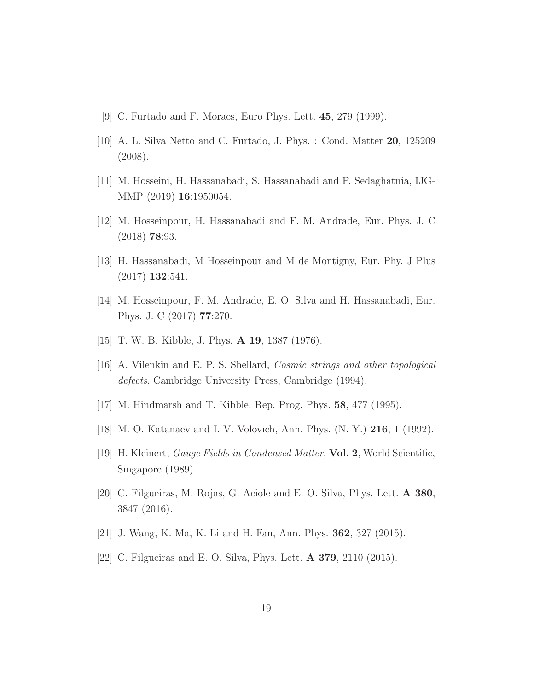- <span id="page-18-1"></span><span id="page-18-0"></span>[9] C. Furtado and F. Moraes, Euro Phys. Lett. 45, 279 (1999).
- <span id="page-18-2"></span>[10] A. L. Silva Netto and C. Furtado, J. Phys. : Cond. Matter 20, 125209 (2008).
- <span id="page-18-3"></span>[11] M. Hosseini, H. Hassanabadi, S. Hassanabadi and P. Sedaghatnia, IJG-MMP (2019) 16:1950054.
- <span id="page-18-4"></span>[12] M. Hosseinpour, H. Hassanabadi and F. M. Andrade, Eur. Phys. J. C (2018) 78:93.
- <span id="page-18-5"></span>[13] H. Hassanabadi, M Hosseinpour and M de Montigny, Eur. Phy. J Plus (2017) 132:541.
- <span id="page-18-6"></span>[14] M. Hosseinpour, F. M. Andrade, E. O. Silva and H. Hassanabadi, Eur. Phys. J. C (2017) 77:270.
- <span id="page-18-7"></span>[15] T. W. B. Kibble, J. Phys. A 19, 1387 (1976).
- <span id="page-18-8"></span>[16] A. Vilenkin and E. P. S. Shellard, Cosmic strings and other topological defects, Cambridge University Press, Cambridge (1994).
- <span id="page-18-9"></span>[17] M. Hindmarsh and T. Kibble, Rep. Prog. Phys. 58, 477 (1995).
- <span id="page-18-10"></span>[18] M. O. Katanaev and I. V. Volovich, Ann. Phys. (N. Y.) 216, 1 (1992).
- <span id="page-18-11"></span>[19] H. Kleinert, Gauge Fields in Condensed Matter, Vol. 2, World Scientific, Singapore (1989).
- <span id="page-18-12"></span>[20] C. Filgueiras, M. Rojas, G. Aciole and E. O. Silva, Phys. Lett. A 380, 3847 (2016).
- <span id="page-18-13"></span>[21] J. Wang, K. Ma, K. Li and H. Fan, Ann. Phys. 362, 327 (2015).
- [22] C. Filgueiras and E. O. Silva, Phys. Lett. A 379, 2110 (2015).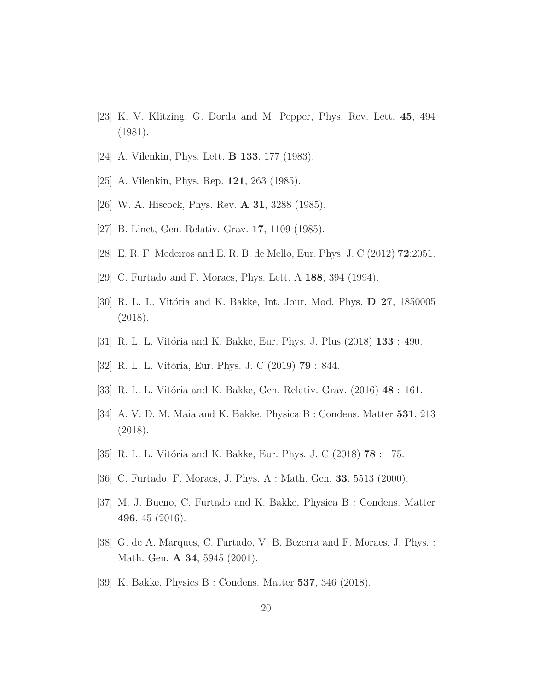- <span id="page-19-1"></span><span id="page-19-0"></span>[23] K. V. Klitzing, G. Dorda and M. Pepper, Phys. Rev. Lett. 45, 494 (1981).
- <span id="page-19-2"></span>[24] A. Vilenkin, Phys. Lett. B 133, 177 (1983).
- <span id="page-19-3"></span>[25] A. Vilenkin, Phys. Rep. 121, 263 (1985).
- <span id="page-19-4"></span>[26] W. A. Hiscock, Phys. Rev. A 31, 3288 (1985).
- <span id="page-19-5"></span>[27] B. Linet, Gen. Relativ. Grav. 17, 1109 (1985).
- <span id="page-19-6"></span>[28] E. R. F. Medeiros and E. R. B. de Mello, Eur. Phys. J. C (2012) 72:2051.
- <span id="page-19-7"></span>[29] C. Furtado and F. Moraes, Phys. Lett. A 188, 394 (1994).
- <span id="page-19-8"></span>[30] R. L. L. Vitória and K. Bakke, Int. Jour. Mod. Phys.  $D$  27, 1850005 (2018).
- <span id="page-19-16"></span>[31] R. L. L. Vitória and K. Bakke, Eur. Phys. J. Plus (2018) **133** : 490.
- <span id="page-19-15"></span>[32] R. L. L. Vitória, Eur. Phys. J. C (2019) **79** : 844.
- <span id="page-19-9"></span>[33] R. L. L. Vitória and K. Bakke, Gen. Relativ. Grav. (2016) 48 : 161.
- <span id="page-19-10"></span>[34] A. V. D. M. Maia and K. Bakke, Physica B : Condens. Matter 531, 213 (2018).
- <span id="page-19-11"></span>[35] R. L. L. Vitória and K. Bakke, Eur. Phys. J. C (2018) **78** : 175.
- <span id="page-19-12"></span>[36] C. Furtado, F. Moraes, J. Phys. A : Math. Gen. 33, 5513 (2000).
- <span id="page-19-13"></span>[37] M. J. Bueno, C. Furtado and K. Bakke, Physica B : Condens. Matter 496, 45 (2016).
- <span id="page-19-14"></span>[38] G. de A. Marques, C. Furtado, V. B. Bezerra and F. Moraes, J. Phys. : Math. Gen. **A 34**, 5945 (2001).
- [39] K. Bakke, Physics B : Condens. Matter 537, 346 (2018).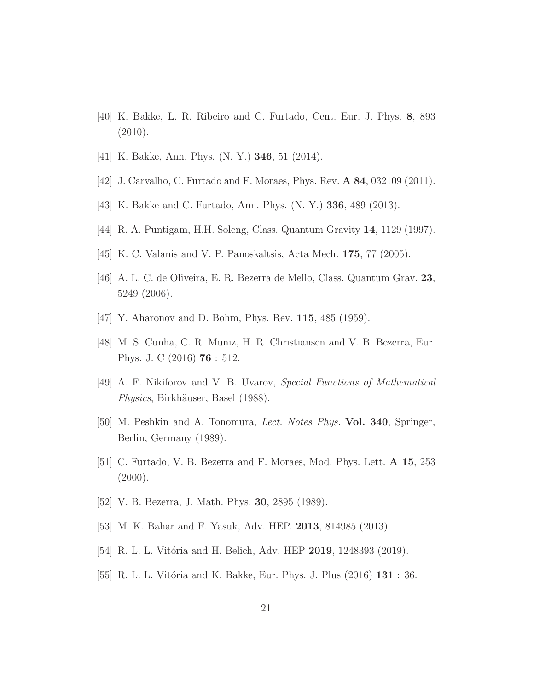- <span id="page-20-1"></span><span id="page-20-0"></span>[40] K. Bakke, L. R. Ribeiro and C. Furtado, Cent. Eur. J. Phys. 8, 893 (2010).
- <span id="page-20-2"></span>[41] K. Bakke, Ann. Phys. (N. Y.) 346, 51 (2014).
- <span id="page-20-3"></span>[42] J. Carvalho, C. Furtado and F. Moraes, Phys. Rev. **A 84**, 032109 (2011).
- <span id="page-20-4"></span>[43] K. Bakke and C. Furtado, Ann. Phys. (N. Y.) 336, 489 (2013).
- <span id="page-20-5"></span>[44] R. A. Puntigam, H.H. Soleng, Class. Quantum Gravity 14, 1129 (1997).
- <span id="page-20-6"></span>[45] K. C. Valanis and V. P. Panoskaltsis, Acta Mech. 175, 77 (2005).
- <span id="page-20-8"></span>[46] A. L. C. de Oliveira, E. R. Bezerra de Mello, Class. Quantum Grav. 23, 5249 (2006).
- <span id="page-20-12"></span>[47] Y. Aharonov and D. Bohm, Phys. Rev. **115**, 485 (1959).
- <span id="page-20-7"></span>[48] M. S. Cunha, C. R. Muniz, H. R. Christiansen and V. B. Bezerra, Eur. Phys. J. C (2016) 76 : 512.
- <span id="page-20-9"></span>[49] A. F. Nikiforov and V. B. Uvarov, Special Functions of Mathematical *Physics*, Birkhäuser, Basel (1988).
- <span id="page-20-10"></span>[50] M. Peshkin and A. Tonomura, Lect. Notes Phys. Vol. 340, Springer, Berlin, Germany (1989).
- <span id="page-20-11"></span>[51] C. Furtado, V. B. Bezerra and F. Moraes, Mod. Phys. Lett. A 15, 253  $(2000).$
- <span id="page-20-13"></span>[52] V. B. Bezerra, J. Math. Phys. **30**, 2895 (1989).
- <span id="page-20-14"></span>[53] M. K. Bahar and F. Yasuk, Adv. HEP. 2013, 814985 (2013).
- <span id="page-20-15"></span>[54] R. L. L. Vitória and H. Belich, Adv. HEP 2019, 1248393 (2019).
- [55] R. L. L. Vitória and K. Bakke, Eur. Phys. J. Plus  $(2016)$  **131** : 36.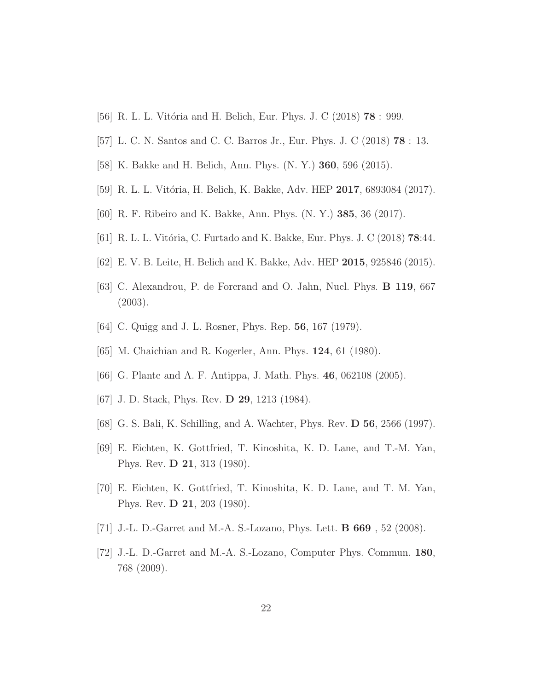- <span id="page-21-1"></span><span id="page-21-0"></span>[56] R. L. L. Vitória and H. Belich, Eur. Phys. J. C (2018) **78** : 999.
- <span id="page-21-2"></span>[57] L. C. N. Santos and C. C. Barros Jr., Eur. Phys. J. C (2018) 78 : 13.
- <span id="page-21-3"></span>[58] K. Bakke and H. Belich, Ann. Phys. (N. Y.) 360, 596 (2015).
- <span id="page-21-4"></span>[59] R. L. L. Vitória, H. Belich, K. Bakke, Adv. HEP 2017, 6893084 (2017).
- <span id="page-21-5"></span>[60] R. F. Ribeiro and K. Bakke, Ann. Phys. (N. Y.) 385, 36 (2017).
- <span id="page-21-6"></span>[61] R. L. L. Vitória, C. Furtado and K. Bakke, Eur. Phys. J. C (2018)  $78:44$ .
- <span id="page-21-7"></span>[62] E. V. B. Leite, H. Belich and K. Bakke, Adv. HEP 2015, 925846 (2015).
- <span id="page-21-8"></span>[63] C. Alexandrou, P. de Forcrand and O. Jahn, Nucl. Phys. B 119, 667 (2003).
- <span id="page-21-9"></span>[64] C. Quigg and J. L. Rosner, Phys. Rep. 56, 167 (1979).
- <span id="page-21-10"></span>[65] M. Chaichian and R. Kogerler, Ann. Phys. 124, 61 (1980).
- <span id="page-21-11"></span>[66] G. Plante and A. F. Antippa, J. Math. Phys. 46, 062108 (2005).
- <span id="page-21-12"></span>[67] J. D. Stack, Phys. Rev. **D 29**, 1213 (1984).
- <span id="page-21-13"></span>[68] G. S. Bali, K. Schilling, and A. Wachter, Phys. Rev. D 56, 2566 (1997).
- <span id="page-21-14"></span>[69] E. Eichten, K. Gottfried, T. Kinoshita, K. D. Lane, and T.-M. Yan, Phys. Rev. D 21, 313 (1980).
- <span id="page-21-15"></span>[70] E. Eichten, K. Gottfried, T. Kinoshita, K. D. Lane, and T. M. Yan, Phys. Rev. D 21, 203 (1980).
- <span id="page-21-16"></span>[71] J.-L. D.-Garret and M.-A. S.-Lozano, Phys. Lett. B 669 , 52 (2008).
- [72] J.-L. D.-Garret and M.-A. S.-Lozano, Computer Phys. Commun. 180, 768 (2009).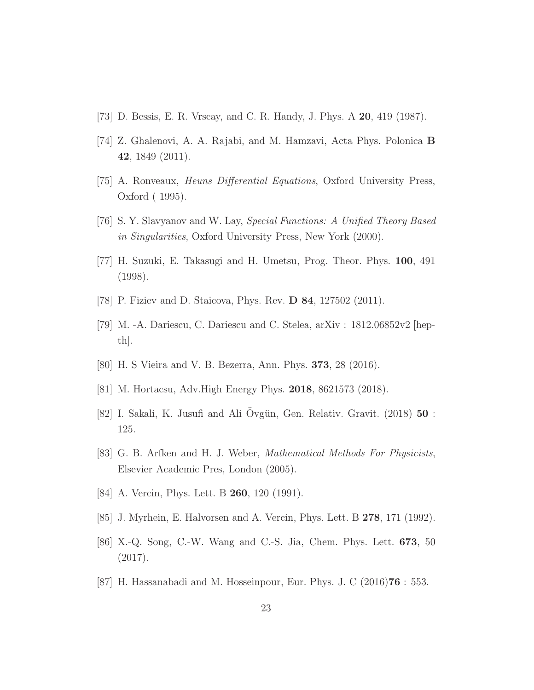- <span id="page-22-1"></span><span id="page-22-0"></span>[73] D. Bessis, E. R. Vrscay, and C. R. Handy, J. Phys. A 20, 419 (1987).
- <span id="page-22-2"></span>[74] Z. Ghalenovi, A. A. Rajabi, and M. Hamzavi, Acta Phys. Polonica B 42, 1849 (2011).
- <span id="page-22-3"></span>[75] A. Ronveaux, Heuns Differential Equations, Oxford University Press, Oxford ( 1995).
- <span id="page-22-4"></span>[76] S. Y. Slavyanov and W. Lay, Special Functions: A Unified Theory Based in Singularities, Oxford University Press, New York (2000).
- <span id="page-22-5"></span>[77] H. Suzuki, E. Takasugi and H. Umetsu, Prog. Theor. Phys. 100, 491 (1998).
- <span id="page-22-6"></span>[78] P. Fiziev and D. Staicova, Phys. Rev. D 84, 127502 (2011).
- <span id="page-22-7"></span>[79] M. -A. Dariescu, C. Dariescu and C. Stelea, arXiv : 1812.06852v2 [hepth].
- <span id="page-22-8"></span>[80] H. S Vieira and V. B. Bezerra, Ann. Phys. 373, 28 (2016).
- <span id="page-22-9"></span>[81] M. Hortacsu, Adv.High Energy Phys. 2018, 8621573 (2018).
- <span id="page-22-10"></span>[82] I. Sakali, K. Jusufi and Ali Övgün, Gen. Relativ. Gravit.  $(2018)$  50 : 125.
- <span id="page-22-11"></span>[83] G. B. Arfken and H. J. Weber, Mathematical Methods For Physicists, Elsevier Academic Pres, London (2005).
- <span id="page-22-12"></span>[84] A. Vercin, Phys. Lett. B **260**, 120 (1991).
- <span id="page-22-13"></span>[85] J. Myrhein, E. Halvorsen and A. Vercin, Phys. Lett. B 278, 171 (1992).
- <span id="page-22-14"></span>[86] X.-Q. Song, C.-W. Wang and C.-S. Jia, Chem. Phys. Lett. 673, 50 (2017).
- [87] H. Hassanabadi and M. Hosseinpour, Eur. Phys. J. C (2016)76 : 553.